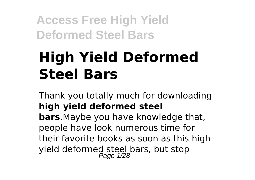# **High Yield Deformed Steel Bars**

Thank you totally much for downloading **high yield deformed steel bars**.Maybe you have knowledge that, people have look numerous time for their favorite books as soon as this high yield deformed steel bars, but stop<br>Page 1/28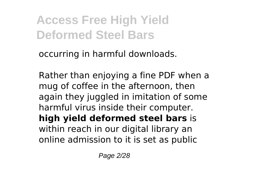occurring in harmful downloads.

Rather than enjoying a fine PDF when a mug of coffee in the afternoon, then again they juggled in imitation of some harmful virus inside their computer. **high yield deformed steel bars** is within reach in our digital library an online admission to it is set as public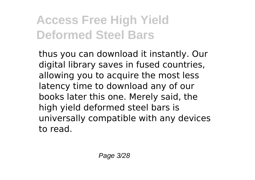thus you can download it instantly. Our digital library saves in fused countries, allowing you to acquire the most less latency time to download any of our books later this one. Merely said, the high yield deformed steel bars is universally compatible with any devices to read.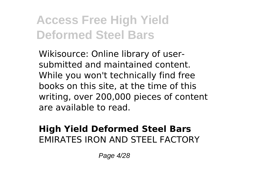Wikisource: Online library of usersubmitted and maintained content. While you won't technically find free books on this site, at the time of this writing, over 200,000 pieces of content are available to read.

#### **High Yield Deformed Steel Bars** EMIRATES IRON AND STEEL FACTORY

Page 4/28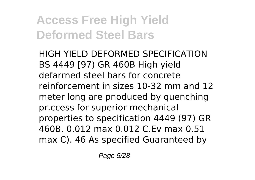HIGH YIELD DEFORMED SPECIFICATION BS 4449 [97) GR 460B High yield defarrned steel bars for concrete reinforcement in sizes 10-32 mm and 12 meter long are pnoduced by quenching pr.ccess for superior mechanical properties to specification 4449 (97) GR 460B. 0.012 max 0.012 C.Ev max 0.51 max C). 46 As specified Guaranteed by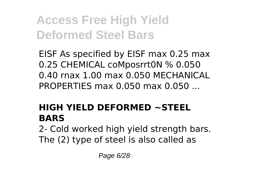EISF As specified by EISF max 0.25 max 0.25 CHEMICAL coMposrrt0N % 0.050 0.40 rnax 1.00 max 0.050 MECHANICAL PROPERTIES max 0.050 max 0.050 ...

### **HIGH YIELD DEFORMED ~STEEL BARS**

2- Cold worked high yield strength bars. The (2) type of steel is also called as

Page 6/28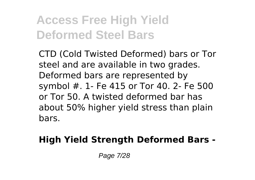CTD (Cold Twisted Deformed) bars or Tor steel and are available in two grades. Deformed bars are represented by symbol #. 1- Fe 415 or Tor 40. 2- Fe 500 or Tor 50. A twisted deformed bar has about 50% higher yield stress than plain bars.

### **High Yield Strength Deformed Bars -**

Page 7/28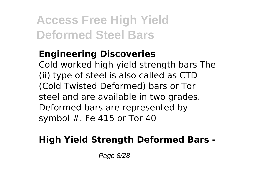### **Engineering Discoveries**

Cold worked high yield strength bars The (ii) type of steel is also called as CTD (Cold Twisted Deformed) bars or Tor steel and are available in two grades. Deformed bars are represented by symbol  $#$ . Fe 415 or Tor 40

### **High Yield Strength Deformed Bars -**

Page 8/28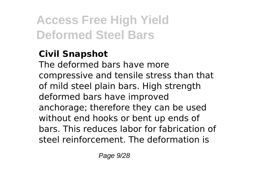### **Civil Snapshot**

The deformed bars have more compressive and tensile stress than that of mild steel plain bars. High strength deformed bars have improved anchorage; therefore they can be used without end hooks or bent up ends of bars. This reduces labor for fabrication of steel reinforcement. The deformation is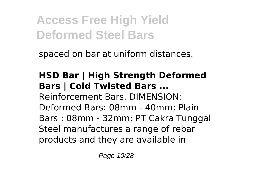spaced on bar at uniform distances.

### **HSD Bar | High Strength Deformed Bars | Cold Twisted Bars ...** Reinforcement Bars. DIMENSION: Deformed Bars: 08mm - 40mm; Plain Bars : 08mm - 32mm; PT Cakra Tunggal Steel manufactures a range of rebar

products and they are available in

Page 10/28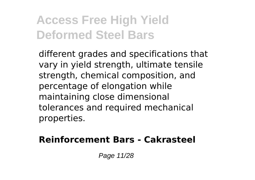different grades and specifications that vary in yield strength, ultimate tensile strength, chemical composition, and percentage of elongation while maintaining close dimensional tolerances and required mechanical properties.

#### **Reinforcement Bars - Cakrasteel**

Page 11/28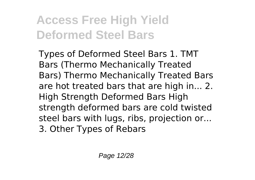Types of Deformed Steel Bars 1. TMT Bars (Thermo Mechanically Treated Bars) Thermo Mechanically Treated Bars are hot treated bars that are high in... 2. High Strength Deformed Bars High strength deformed bars are cold twisted steel bars with lugs, ribs, projection or... 3. Other Types of Rebars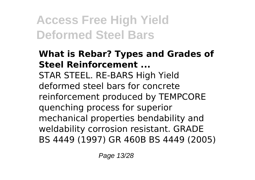#### **What is Rebar? Types and Grades of Steel Reinforcement ...** STAR STEEL. RE-BARS High Yield deformed steel bars for concrete reinforcement produced by TEMPCORE quenching process for superior mechanical properties bendability and weldability corrosion resistant. GRADE BS 4449 (1997) GR 460B BS 4449 (2005)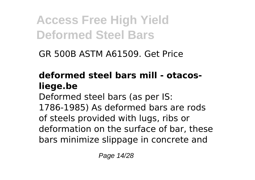GR 500B ASTM A61509. Get Price

### **deformed steel bars mill - otacosliege.be**

Deformed steel bars (as per IS: 1786-1985) As deformed bars are rods of steels provided with lugs, ribs or deformation on the surface of bar, these bars minimize slippage in concrete and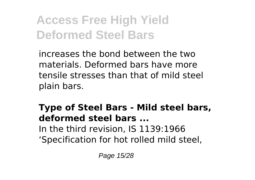increases the bond between the two materials. Deformed bars have more tensile stresses than that of mild steel plain bars.

#### **Type of Steel Bars - Mild steel bars, deformed steel bars ...** In the third revision, IS 1139:1966 'Specification for hot rolled mild steel,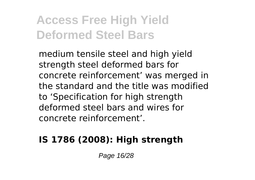medium tensile steel and high yield strength steel deformed bars for concrete reinforcement' was merged in the standard and the title was modified to 'Specification for high strength deformed steel bars and wires for concrete reinforcement'.

### **IS 1786 (2008): High strength**

Page 16/28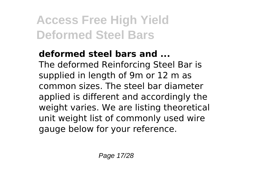#### **deformed steel bars and ...** The deformed Reinforcing Steel Bar is supplied in length of 9m or 12 m as common sizes. The steel bar diameter applied is different and accordingly the weight varies. We are listing theoretical unit weight list of commonly used wire gauge below for your reference.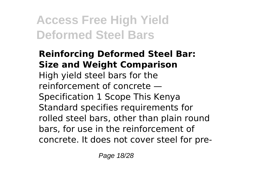#### **Reinforcing Deformed Steel Bar: Size and Weight Comparison** High yield steel bars for the reinforcement of concrete — Specification 1 Scope This Kenya Standard specifies requirements for rolled steel bars, other than plain round bars, for use in the reinforcement of concrete. It does not cover steel for pre-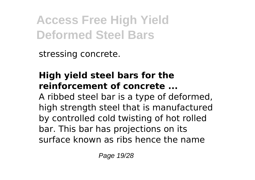stressing concrete.

#### **High yield steel bars for the reinforcement of concrete ...**

A ribbed steel bar is a type of deformed, high strength steel that is manufactured by controlled cold twisting of hot rolled bar. This bar has projections on its surface known as ribs hence the name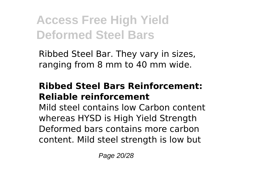Ribbed Steel Bar. They vary in sizes, ranging from 8 mm to 40 mm wide.

#### **Ribbed Steel Bars Reinforcement: Reliable reinforcement**

Mild steel contains low Carbon content whereas HYSD is High Yield Strength Deformed bars contains more carbon content. Mild steel strength is low but

Page 20/28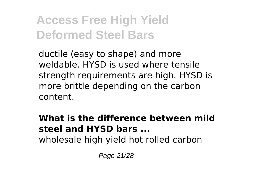ductile (easy to shape) and more weldable. HYSD is used where tensile strength requirements are high. HYSD is more brittle depending on the carbon content.

### **What is the difference between mild steel and HYSD bars ...**

wholesale high yield hot rolled carbon

Page 21/28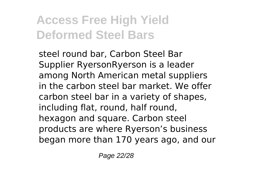steel round bar, Carbon Steel Bar Supplier RyersonRyerson is a leader among North American metal suppliers in the carbon steel bar market. We offer carbon steel bar in a variety of shapes, including flat, round, half round, hexagon and square. Carbon steel products are where Ryerson's business began more than 170 years ago, and our

Page 22/28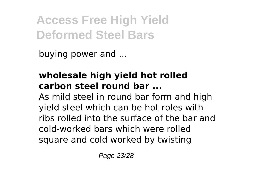buying power and ...

#### **wholesale high yield hot rolled carbon steel round bar ...**

As mild steel in round bar form and high yield steel which can be hot roles with ribs rolled into the surface of the bar and cold-worked bars which were rolled square and cold worked by twisting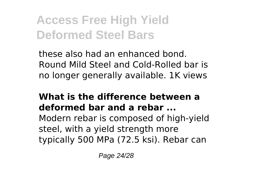these also had an enhanced bond. Round Mild Steel and Cold-Rolled bar is no longer generally available. 1K views

#### **What is the difference between a deformed bar and a rebar ...**

Modern rebar is composed of high-yield steel, with a yield strength more typically 500 MPa (72.5 ksi). Rebar can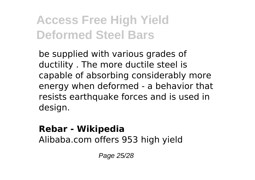be supplied with various grades of ductility . The more ductile steel is capable of absorbing considerably more energy when deformed - a behavior that resists earthquake forces and is used in design.

### **Rebar - Wikipedia**

Alibaba.com offers 953 high yield

Page 25/28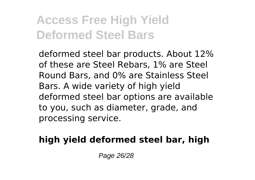deformed steel bar products. About 12% of these are Steel Rebars, 1% are Steel Round Bars, and 0% are Stainless Steel Bars. A wide variety of high yield deformed steel bar options are available to you, such as diameter, grade, and processing service.

### **high yield deformed steel bar, high**

Page 26/28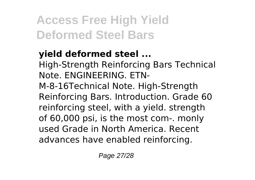### **yield deformed steel ...**

High-Strength Reinforcing Bars Technical Note. ENGINEERING. ETN-M-8-16Technical Note. High-Strength Reinforcing Bars. Introduction. Grade 60 reinforcing steel, with a yield. strength of 60,000 psi, is the most com-. monly used Grade in North America. Recent advances have enabled reinforcing.